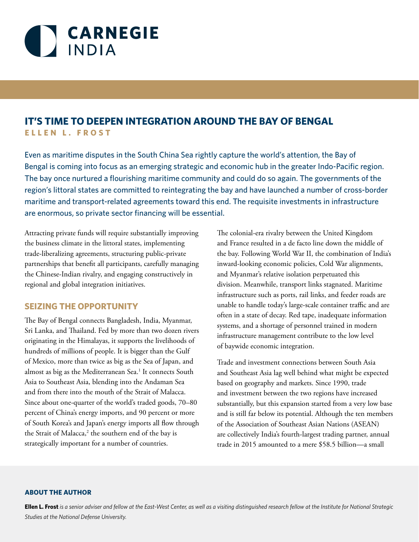

# **IT'S TIME TO DEEPEN INTEGRATION AROUND THE BAY OF BENGAL ELLEN L. FROST**

Even as maritime disputes in the South China Sea rightly capture the world's attention, the Bay of Bengal is coming into focus as an emerging strategic and economic hub in the greater Indo-Pacific region. The bay once nurtured a flourishing maritime community and could do so again. The governments of the region's littoral states are committed to reintegrating the bay and have launched a number of cross-border maritime and transport-related agreements toward this end. The requisite investments in infrastructure are enormous, so private sector financing will be essential.

Attracting private funds will require substantially improving the business climate in the littoral states, implementing trade-liberalizing agreements, structuring public-private partnerships that benefit all participants, carefully managing the Chinese-Indian rivalry, and engaging constructively in regional and global integration initiatives.

#### **SEIZING THE OPPORTUNITY**

The Bay of Bengal connects Bangladesh, India, Myanmar, Sri Lanka, and Thailand. Fed by more than two dozen rivers originating in the Himalayas, it supports the livelihoods of hundreds of millions of people. It is bigger than the Gulf of Mexico, more than twice as big as the Sea of Japan, and almost as big as the Mediterranean Sea.<sup>1</sup> It connects South Asia to Southeast Asia, blending into the Andaman Sea and from there into the mouth of the Strait of Malacca. Since about one-quarter of the world's traded goods, 70–80 percent of China's energy imports, and 90 percent or more of South Korea's and Japan's energy imports all flow through the Strait of Malacca,<sup>2</sup> the southern end of the bay is strategically important for a number of countries.

The colonial-era rivalry between the United Kingdom and France resulted in a de facto line down the middle of the bay. Following World War II, the combination of India's inward-looking economic policies, Cold War alignments, and Myanmar's relative isolation perpetuated this division. Meanwhile, transport links stagnated. Maritime infrastructure such as ports, rail links, and feeder roads are unable to handle today's large-scale container traffic and are often in a state of decay. Red tape, inadequate information systems, and a shortage of personnel trained in modern infrastructure management contribute to the low level of baywide economic integration.

Trade and investment connections between South Asia and Southeast Asia lag well behind what might be expected based on geography and markets. Since 1990, trade and investment between the two regions have increased substantially, but this expansion started from a very low base and is still far below its potential. Although the ten members of the Association of Southeast Asian Nations (ASEAN) are collectively India's fourth-largest trading partner, annual trade in 2015 amounted to a mere \$58.5 billion—a small

#### **ABOUT THE AUTHOR**

**Ellen L. Frost** *is a senior adviser and fellow at the East-West Center, as well as a visiting distinguished research fellow at the Institute for National Strategic Studies at the National Defense University.*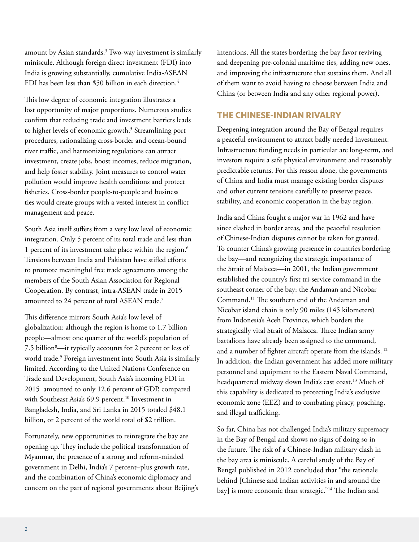amount by Asian standards. $^3$  Two-way investment is similarly miniscule. Although foreign direct investment (FDI) into India is growing substantially, cumulative India-ASEAN FDI has been less than \$50 billion in each direction.<sup>4</sup>

This low degree of economic integration illustrates a lost opportunity of major proportions. Numerous studies confirm that reducing trade and investment barriers leads to higher levels of economic growth.<sup>5</sup> Streamlining port procedures, rationalizing cross-border and ocean-bound river traffic, and harmonizing regulations can attract investment, create jobs, boost incomes, reduce migration, and help foster stability. Joint measures to control water pollution would improve health conditions and protect fisheries. Cross-border people-to-people and business ties would create groups with a vested interest in conflict management and peace.

South Asia itself suffers from a very low level of economic integration. Only 5 percent of its total trade and less than 1 percent of its investment take place within the region.<sup>6</sup> Tensions between India and Pakistan have stifled efforts to promote meaningful free trade agreements among the members of the South Asian Association for Regional Cooperation. By contrast, intra-ASEAN trade in 2015 amounted to 24 percent of total ASEAN trade.<sup>7</sup>

This difference mirrors South Asia's low level of globalization: although the region is home to 1.7 billion people—almost one quarter of the world's population of 7.5 billion8 —it typically accounts for 2 percent or less of world trade.9 Foreign investment into South Asia is similarly limited. According to the United Nations Conference on Trade and Development, South Asia's incoming FDI in 2015 amounted to only 12.6 percent of GDP, compared with Southeast Asia's 69.9 percent.<sup>10</sup> Investment in Bangladesh, India, and Sri Lanka in 2015 totaled \$48.1 billion, or 2 percent of the world total of \$2 trillion.

Fortunately, new opportunities to reintegrate the bay are opening up. They include the political transformation of Myanmar, the presence of a strong and reform-minded government in Delhi, India's 7 percent–plus growth rate, and the combination of China's economic diplomacy and concern on the part of regional governments about Beijing's intentions. All the states bordering the bay favor reviving and deepening pre-colonial maritime ties, adding new ones, and improving the infrastructure that sustains them. And all of them want to avoid having to choose between India and China (or between India and any other regional power).

# **THE CHINESE-INDIAN RIVALRY**

Deepening integration around the Bay of Bengal requires a peaceful environment to attract badly needed investment. Infrastructure funding needs in particular are long-term, and investors require a safe physical environment and reasonably predictable returns. For this reason alone, the governments of China and India must manage existing border disputes and other current tensions carefully to preserve peace, stability, and economic cooperation in the bay region.

India and China fought a major war in 1962 and have since clashed in border areas, and the peaceful resolution of Chinese-Indian disputes cannot be taken for granted. To counter China's growing presence in countries bordering the bay—and recognizing the strategic importance of the Strait of Malacca—in 2001, the Indian government established the country's first tri-service command in the southeast corner of the bay: the Andaman and Nicobar Command.11 The southern end of the Andaman and Nicobar island chain is only 90 miles (145 kilometers) from Indonesia's Aceh Province, which borders the strategically vital Strait of Malacca. Three Indian army battalions have already been assigned to the command, and a number of fighter aircraft operate from the islands. 12 In addition, the Indian government has added more military personnel and equipment to the Eastern Naval Command, headquartered midway down India's east coast.<sup>13</sup> Much of this capability is dedicated to protecting India's exclusive economic zone (EEZ) and to combating piracy, poaching, and illegal trafficking.

So far, China has not challenged India's military supremacy in the Bay of Bengal and shows no signs of doing so in the future. The risk of a Chinese-Indian military clash in the bay area is miniscule. A careful study of the Bay of Bengal published in 2012 concluded that "the rationale behind [Chinese and Indian activities in and around the bay] is more economic than strategic."<sup>14</sup> The Indian and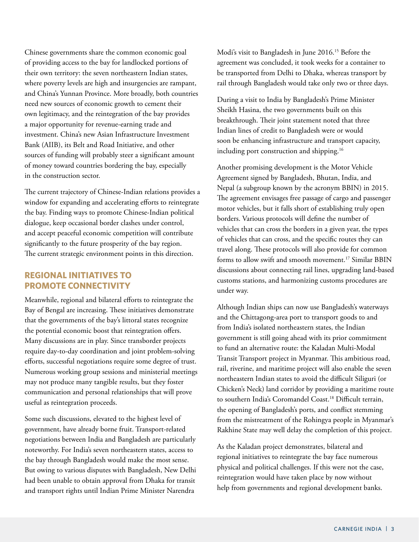Chinese governments share the common economic goal of providing access to the bay for landlocked portions of their own territory: the seven northeastern Indian states, where poverty levels are high and insurgencies are rampant, and China's Yunnan Province. More broadly, both countries need new sources of economic growth to cement their own legitimacy, and the reintegration of the bay provides a major opportunity for revenue-earning trade and investment. China's new Asian Infrastructure Investment Bank (AIIB), its Belt and Road Initiative, and other sources of funding will probably steer a significant amount of money toward countries bordering the bay, especially in the construction sector.

The current trajectory of Chinese-Indian relations provides a window for expanding and accelerating efforts to reintegrate the bay. Finding ways to promote Chinese-Indian political dialogue, keep occasional border clashes under control, and accept peaceful economic competition will contribute significantly to the future prosperity of the bay region. The current strategic environment points in this direction.

#### **REGIONAL INITIATIVES TO PROMOTE CONNECTIVITY**

Meanwhile, regional and bilateral efforts to reintegrate the Bay of Bengal are increasing. These initiatives demonstrate that the governments of the bay's littoral states recognize the potential economic boost that reintegration offers. Many discussions are in play. Since transborder projects require day-to-day coordination and joint problem-solving efforts, successful negotiations require some degree of trust. Numerous working group sessions and ministerial meetings may not produce many tangible results, but they foster communication and personal relationships that will prove useful as reintegration proceeds.

Some such discussions, elevated to the highest level of government, have already borne fruit. Transport-related negotiations between India and Bangladesh are particularly noteworthy. For India's seven northeastern states, access to the bay through Bangladesh would make the most sense. But owing to various disputes with Bangladesh, New Delhi had been unable to obtain approval from Dhaka for transit and transport rights until Indian Prime Minister Narendra

Modi's visit to Bangladesh in June 2016.15 Before the agreement was concluded, it took weeks for a container to be transported from Delhi to Dhaka, whereas transport by rail through Bangladesh would take only two or three days.

During a visit to India by Bangladesh's Prime Minister Sheikh Hasina, the two governments built on this breakthrough. Their joint statement noted that three Indian lines of credit to Bangladesh were or would soon be enhancing infrastructure and transport capacity, including port construction and shipping.<sup>16</sup>

Another promising development is the Motor Vehicle Agreement signed by Bangladesh, Bhutan, India, and Nepal (a subgroup known by the acronym BBIN) in 2015. The agreement envisages free passage of cargo and passenger motor vehicles, but it falls short of establishing truly open borders. Various protocols will define the number of vehicles that can cross the borders in a given year, the types of vehicles that can cross, and the specific routes they can travel along. These protocols will also provide for common forms to allow swift and smooth movement.<sup>17</sup> Similar BBIN discussions about connecting rail lines, upgrading land-based customs stations, and harmonizing customs procedures are under way.

Although Indian ships can now use Bangladesh's waterways and the Chittagong-area port to transport goods to and from India's isolated northeastern states, the Indian government is still going ahead with its prior commitment to fund an alternative route: the Kaladan Multi-Modal Transit Transport project in Myanmar. This ambitious road, rail, riverine, and maritime project will also enable the seven northeastern Indian states to avoid the difficult Siliguri (or Chicken's Neck) land corridor by providing a maritime route to southern India's Coromandel Coast.18 Difficult terrain, the opening of Bangladesh's ports, and conflict stemming from the mistreatment of the Rohingya people in Myanmar's Rakhine State may well delay the completion of this project.

As the Kaladan project demonstrates, bilateral and regional initiatives to reintegrate the bay face numerous physical and political challenges. If this were not the case, reintegration would have taken place by now without help from governments and regional development banks.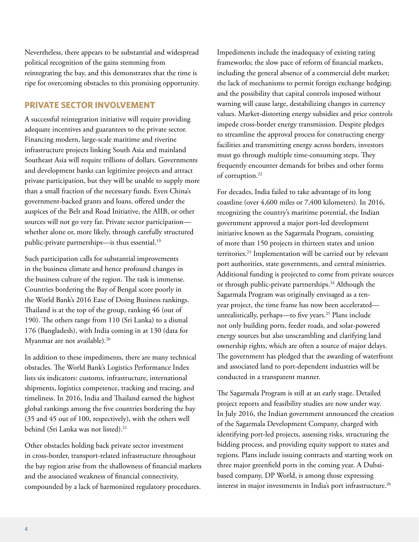Nevertheless, there appears to be substantial and widespread political recognition of the gains stemming from reintegrating the bay, and this demonstrates that the time is ripe for overcoming obstacles to this promising opportunity.

### **PRIVATE SECTOR INVOLVEMENT**

A successful reintegration initiative will require providing adequate incentives and guarantees to the private sector. Financing modern, large-scale maritime and riverine infrastructure projects linking South Asia and mainland Southeast Asia will require trillions of dollars. Governments and development banks can legitimize projects and attract private participation, but they will be unable to supply more than a small fraction of the necessary funds. Even China's government-backed grants and loans, offered under the auspices of the Belt and Road Initiative, the AIIB, or other sources will not go very far. Private sector participation whether alone or, more likely, through carefully structured public-private partnerships-is thus essential.<sup>19</sup>

Such participation calls for substantial improvements in the business climate and hence profound changes in the business culture of the region. The task is immense. Countries bordering the Bay of Bengal score poorly in the World Bank's 2016 Ease of Doing Business rankings. Thailand is at the top of the group, ranking 46 (out of 190). The others range from 110 (Sri Lanka) to a dismal 176 (Bangladesh), with India coming in at 130 (data for Myanmar are not available).<sup>20</sup>

In addition to these impediments, there are many technical obstacles. The World Bank's Logistics Performance Index lists six indicators: customs, infrastructure, international shipments, logistics competence, tracking and tracing, and timeliness. In 2016, India and Thailand earned the highest global rankings among the five countries bordering the bay (35 and 45 out of 100, respectively), with the others well behind (Sri Lanka was not listed).<sup>21</sup>

Other obstacles holding back private sector investment in cross-border, transport-related infrastructure throughout the bay region arise from the shallowness of financial markets and the associated weakness of financial connectivity, compounded by a lack of harmonized regulatory procedures.

Impediments include the inadequacy of existing rating frameworks; the slow pace of reform of financial markets, including the general absence of a commercial debt market; the lack of mechanisms to permit foreign exchange hedging; and the possibility that capital controls imposed without warning will cause large, destabilizing changes in currency values. Market-distorting energy subsidies and price controls impede cross-border energy transmission. Despite pledges to streamline the approval process for constructing energy facilities and transmitting energy across borders, investors must go through multiple time-consuming steps. They frequently encounter demands for bribes and other forms of corruption.<sup>22</sup>

For decades, India failed to take advantage of its long coastline (over 4,600 miles or 7,400 kilometers). In 2016, recognizing the country's maritime potential, the Indian government approved a major port-led development initiative known as the Sagarmala Program, consisting of more than 150 projects in thirteen states and union territories.23 Implementation will be carried out by relevant port authorities, state governments, and central ministries. Additional funding is projected to come from private sources or through public-private partnerships.<sup>24</sup> Although the Sagarmala Program was originally envisaged as a tenyear project, the time frame has now been accelerated unrealistically, perhaps—to five years.<sup>25</sup> Plans include not only building ports, feeder roads, and solar-powered energy sources but also unscrambling and clarifying land ownership rights, which are often a source of major delays. The government has pledged that the awarding of waterfront and associated land to port-dependent industries will be conducted in a transparent manner.

The Sagarmala Program is still at an early stage. Detailed project reports and feasibility studies are now under way. In July 2016, the Indian government announced the creation of the Sagarmala Development Company, charged with identifying port-led projects, assessing risks, structuring the bidding process, and providing equity support to states and regions. Plans include issuing contracts and starting work on three major greenfield ports in the coming year. A Dubaibased company, DP World, is among those expressing interest in major investments in India's port infrastructure.<sup>26</sup>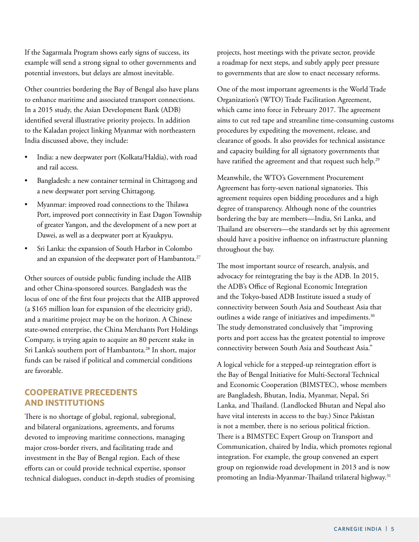If the Sagarmala Program shows early signs of success, its example will send a strong signal to other governments and potential investors, but delays are almost inevitable.

Other countries bordering the Bay of Bengal also have plans to enhance maritime and associated transport connections. In a 2015 study, the Asian Development Bank (ADB) identified several illustrative priority projects. In addition to the Kaladan project linking Myanmar with northeastern India discussed above, they include:

- India: a new deepwater port (Kolkata/Haldia), with road and rail access.
- Bangladesh: a new container terminal in Chittagong and a new deepwater port serving Chittagong.
- Myanmar: improved road connections to the Thilawa Port, improved port connectivity in East Dagon Township of greater Yangon, and the development of a new port at Dawei, as well as a deepwater port at Kyaukpyu.
- Sri Lanka: the expansion of South Harbor in Colombo and an expansion of the deepwater port of Hambantota.<sup>27</sup>

Other sources of outside public funding include the AIIB and other China-sponsored sources. Bangladesh was the locus of one of the first four projects that the AIIB approved ([a \\$165 million loan](https://www.aiib.org/en/projects/approved/2016/bangladesh-distribution-system.html) for expansion of the electricity grid), and a maritime project may be on the horizon. A Chinese state-owned enterprise, the China Merchants Port Holdings Company, is trying again to acquire an 80 percent stake in Sri Lanka's southern port of Hambantota.<sup>28</sup> In short, major funds can be raised if political and commercial conditions are favorable.

### **COOPERATIVE PRECEDENTS AND INSTITUTIONS**

There is no shortage of global, regional, subregional, and bilateral organizations, agreements, and forums devoted to improving maritime connections, managing major cross-border rivers, and facilitating trade and investment in the Bay of Bengal region. Each of these efforts can or could provide technical expertise, sponsor technical dialogues, conduct in-depth studies of promising projects, host meetings with the private sector, provide a roadmap for next steps, and subtly apply peer pressure to governments that are slow to enact necessary reforms.

One of the most important agreements is the World Trade Organization's (WTO) Trade Facilitation Agreement, which came into force in February 2017. The agreement aims to cut red tape and streamline time-consuming customs procedures by expediting the movement, release, and clearance of goods. It also provides for technical assistance and capacity building for all signatory governments that have ratified the agreement and that request such help.<sup>29</sup>

Meanwhile, the WTO's Government Procurement Agreement has forty-seven national signatories. This agreement requires open bidding procedures and a high degree of transparency. Although none of the countries bordering the bay are members—India, Sri Lanka, and Thailand are observers—the standards set by this agreement should have a positive influence on infrastructure planning throughout the bay.

The most important source of research, analysis, and advocacy for reintegrating the bay is the ADB. In 2015, the ADB's Office of Regional Economic Integration and the Tokyo-based ADB Institute issued a study of connectivity between South Asia and Southeast Asia that outlines a wide range of initiatives and impediments.<sup>30</sup> The study demonstrated conclusively that "improving ports and port access has the greatest potential to improve connectivity between South Asia and Southeast Asia."

A logical vehicle for a stepped-up reintegration effort is the Bay of Bengal Initiative for Multi-Sectoral Technical and Economic Cooperation (BIMSTEC), whose members are Bangladesh, Bhutan, India, Myanmar, Nepal, Sri Lanka, and Thailand. (Landlocked Bhutan and Nepal also have vital interests in access to the bay.) Since Pakistan is not a member, there is no serious political friction. There is a BIMSTEC Expert Group on Transport and Communication, chaired by India, which promotes regional integration. For example, the group convened an expert group on regionwide road development in 2013 and is now promoting an India-Myanmar-Thailand trilateral highway.31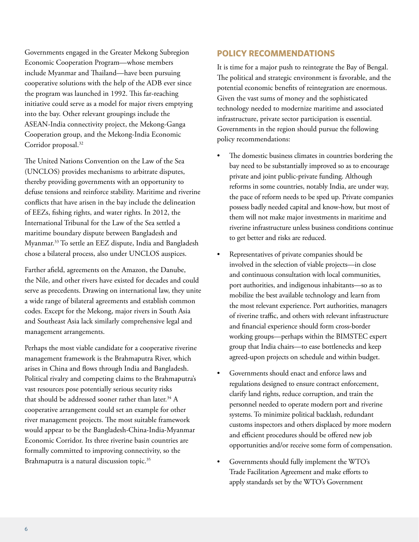Governments engaged in the Greater Mekong Subregion Economic Cooperation Program—whose members include Myanmar and Thailand—have been pursuing cooperative solutions with the help of the ADB ever since the program was launched in 1992. This far-reaching initiative could serve as a model for major rivers emptying into the bay. Other relevant groupings include the ASEAN-India connectivity project, the Mekong-Ganga Cooperation group, and the Mekong-India Economic Corridor proposal.<sup>32</sup>

The United Nations Convention on the Law of the Sea (UNCLOS) provides mechanisms to arbitrate disputes, thereby providing governments with an opportunity to defuse tensions and reinforce stability. Maritime and riverine conflicts that have arisen in the bay include the delineation of EEZs, fishing rights, and water rights. In 2012, the International Tribunal for the Law of the Sea settled a maritime boundary dispute between Bangladesh and Myanmar.33 To settle an EEZ dispute, India and Bangladesh chose a bilateral process, also under UNCLOS auspices.

Farther afield, agreements on the Amazon, the Danube, the Nile, and other rivers have existed for decades and could serve as precedents. Drawing on international law, they unite a wide range of bilateral agreements and establish common codes. Except for the Mekong, major rivers in South Asia and Southeast Asia lack similarly comprehensive legal and management arrangements.

Perhaps the most viable candidate for a cooperative riverine management framework is the Brahmaputra River, which arises in China and flows through India and Bangladesh. Political rivalry and competing claims to the Brahmaputra's vast resources pose potentially serious security risks that should be addressed sooner rather than later.<sup>34</sup> A cooperative arrangement could set an example for other river management projects. The most suitable framework would appear to be the Bangladesh-China-India-Myanmar Economic Corridor. Its three riverine basin countries are formally committed to improving connectivity, so the Brahmaputra is a natural discussion topic.<sup>35</sup>

# **POLICY RECOMMENDATIONS**

It is time for a major push to reintegrate the Bay of Bengal. The political and strategic environment is favorable, and the potential economic benefits of reintegration are enormous. Given the vast sums of money and the sophisticated technology needed to modernize maritime and associated infrastructure, private sector participation is essential. Governments in the region should pursue the following policy recommendations:

- The domestic business climates in countries bordering the bay need to be substantially improved so as to encourage private and joint public-private funding. Although reforms in some countries, notably India, are under way, the pace of reform needs to be sped up. Private companies possess badly needed capital and know-how, but most of them will not make major investments in maritime and riverine infrastructure unless business conditions continue to get better and risks are reduced.
- Representatives of private companies should be involved in the selection of viable projects—in close and continuous consultation with local communities, port authorities, and indigenous inhabitants—so as to mobilize the best available technology and learn from the most relevant experience. Port authorities, managers of riverine traffic, and others with relevant infrastructure and financial experience should form cross-border working groups—perhaps within the BIMSTEC expert group that India chairs—to ease bottlenecks and keep agreed-upon projects on schedule and within budget.
- Governments should enact and enforce laws and regulations designed to ensure contract enforcement, clarify land rights, reduce corruption, and train the personnel needed to operate modern port and riverine systems. To minimize political backlash, redundant customs inspectors and others displaced by more modern and efficient procedures should be offered new job opportunities and/or receive some form of compensation.
- Governments should fully implement the WTO's Trade Facilitation Agreement and make efforts to apply standards set by the WTO's Government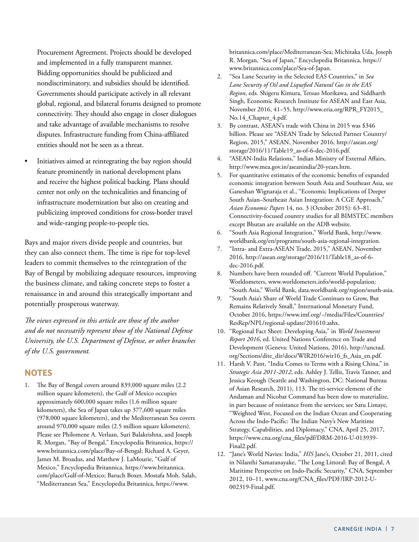Procurement Agreement. Projects should be developed and implemented in a fully transparent manner. Bidding opportunities should be publicized and nondiscriminatory, and subsidies should be identified. Governments should participate actively in all relevant global, regional, and bilateral forums designed to promote connectivity. They should also engage in closer dialogues and take advantage of available mechanisms to resolve disputes. Infrastructure funding from China-affiliated entities should not be seen as a threat.

• Initiatives aimed at reintegrating the bay region should feature prominently in national development plans and receive the highest political backing. Plans should center not only on the technicalities and financing of infrastructure modernization but also on creating and publicizing improved conditions for cross-border travel and wide-ranging people-to-people ties.

Bays and major rivers divide people and countries, but they can also connect them. The time is ripe for top-level leaders to commit themselves to the reintegration of the Bay of Bengal by mobilizing adequate resources, improving the business climate, and taking concrete steps to foster a renaissance in and around this strategically important and potentially prosperous waterway.

*The views expressed in this article are those of the author and do not necessarily represent those of the National Defense University, the U.S. Department of Defense, or other branches of the U.S. government.*

#### **NOTES**

1. The Bay of Bengal covers around 839,000 square miles (2.2 million square kilometers), the Gulf of Mexico occupies approximately 600,000 square miles (1.6 million square kilometers), the Sea of Japan takes up 377,600 square miles (978,000 square kilometers), and the Mediterranean Sea covers around 970,000 square miles (2.5 million square kilometers). Please see Philomene A. Verlaan, Suri Balakrishna, and Joseph R. Morgan, "Bay of Bengal," Encyclopedia Britannica, https:// www.britannica.com/place/Bay-of-Bengal; Richard A. Geyer, James M. Broadus, and Matthew J. LaMourie, "Gulf of Mexico," Encyclopedia Britannica, [https://www.britannica.](https://www.britannica.com/place/Gulf-of-Mexico) [com/place/Gulf-of-Mexico](https://www.britannica.com/place/Gulf-of-Mexico); Baruch Boxer, Mostafa Moh. Salah, "Mediterranean Sea," Encyclopedia Britannica, [https://www.](https://www.britannica.com/place/Mediterranean-Sea)

[britannica.com/place/Mediterranean-Sea](https://www.britannica.com/place/Mediterranean-Sea); Michitaka Uda, Joseph R. Morgan, "Sea of Japan," Encyclopedia Britannica, [https://](https://www.britannica.com/place/Sea-of-Japan) [www.britannica.com/place/Sea-of-Japan.](https://www.britannica.com/place/Sea-of-Japan)

- 2. "Sea Lane Security in the Selected EAS Countries," in *Sea Lane Security of Oil and Liquefied Natural Gas in the EAS Region*, eds. Shigeru Kimura, Tetsuo Morikawa, and Siddharth Singh, Economic Research Institute for ASEAN and East Asia, November 2016, 41–55, [http://www.eria.org/RPR\\_FY2015\\_](http://www.eria.org/RPR_FY2015_No.14_Chapter_4.pdf) [No.14\\_Chapter\\_4.pdf.](http://www.eria.org/RPR_FY2015_No.14_Chapter_4.pdf)
- 3. By contrast, ASEAN's trade with China in 2015 was \$346 billion. Please see "ASEAN Trade by Selected Partner Country/ Region, 2015," ASEAN, November 2016, [http://asean.org/](http://asean.org/storage/2016/11/Table19_as-of-6-dec-2016.pdf) [storage/2016/11/Table19\\_as-of-6-dec-2016.pdf](http://asean.org/storage/2016/11/Table19_as-of-6-dec-2016.pdf).
- 4. "ASEAN-India Relations," Indian Ministry of External Affairs, http://www.mea.gov.in/aseanindia/20-years.htm.
- 5. For quantitative estimates of the economic benefits of expanded economic integration between South Asia and Southeast Asia, see Ganeshan Wignaraja et al., "Economic Implications of Deeper South Asian–Southeast Asian Integration: A CGE Approach," *Asian Economic Papers* 14, no. 3 (October 2015): 63–81. Connectivity-focused country studies for all BIMSTEC members except Bhutan are available on the ADB website.
- 6. "South Asia Regional Integration," World Bank, [http://www.](http://www.worldbank.org/en/programs/south-asia-regional-integration) [worldbank.org/en/programs/south-asia-regional-integration.](http://www.worldbank.org/en/programs/south-asia-regional-integration)
- 7. "Intra- and Extra-ASEAN Trade, 2015," ASEAN, November 2016, [http://asean.org/storage/2016/11/Table18\\_as-of-6](http://asean.org/storage/2016/11/Table18_as-of-6-dec-2016.pdf) [dec-2016.pdf](http://asean.org/storage/2016/11/Table18_as-of-6-dec-2016.pdf).
- 8. Numbers have been rounded off. "Current World Population," Worldometers, [www.worldometers.info/world-population](http://www.worldometers.info/world-population)*;* "South Asia," World Bank, data.worldbank.org/region/south-asia.
- 9. "South Asia's Share of World Trade Continues to Grow, But Remains Relatively Small," International Monetary Fund, October 2016, [https://www.imf.org/~/media/Files/Countries/](https://www.imf.org/~/media/Files/Countries/ResRep/NPL/regional-update/201610.ashx) [ResRep/NPL/regional-update/201610.ashx](https://www.imf.org/~/media/Files/Countries/ResRep/NPL/regional-update/201610.ashx).
- 10. "Regional Fact Sheet: Developing Asia," in *World Investment Report 2016*, ed. United Nations Conference on Trade and Development (Geneva: United Nations, 2016), [http://unctad.](http://unctad.org/Sections/dite_dir/docs/WIR2016/wir16_fs_Asia_en.pdf) [org/Sections/dite\\_dir/docs/WIR2016/wir16\\_fs\\_Asia\\_en.pdf.](http://unctad.org/Sections/dite_dir/docs/WIR2016/wir16_fs_Asia_en.pdf)
- 11. Harsh V. Pant, "India Comes to Terms with a Rising China," in *Strategic Asia 2011-2012*, eds. Ashley J. Tellis, Travis Tanner, and Jessica Keough (Seattle and Washington, DC: National Bureau of Asian Research, 2011), 113. The tri-service element of the Andaman and Nicobar Command has been slow to materialize, in part because of resistance from the services; see Satu Limaye, "Weighted West, Focused on the Indian Ocean and Cooperating Across the Indo-Pacific: The Indian Navy's New Maritime Strategy, Capabilities, and Diplomacy," CNA, April 25, 2017, [https://www.cna.org/cna\\_files/pdf/DRM-2016-U-013939-](https://www.cna.org/cna_files/pdf/DRM-2016-U-013939-Final2.pdf) [Final2.pdf](https://www.cna.org/cna_files/pdf/DRM-2016-U-013939-Final2.pdf).
- 12. "Jane's World Navies: India," *HIS* Jane's, October 21, 2011, cited in Nilanthi Samaranayake, "The Long Littoral: Bay of Bengal, A Maritime Perspective on Indo-Pacific Security," CNA, September 2012, 10–11, [www.cna.org/CNA\\_files/PDF/IRP-2012-U-](http://www.cna.org/CNA_files/PDF/IRP-2012-U-002319-Final.pdf)[002319-Final.pdf.](http://www.cna.org/CNA_files/PDF/IRP-2012-U-002319-Final.pdf)